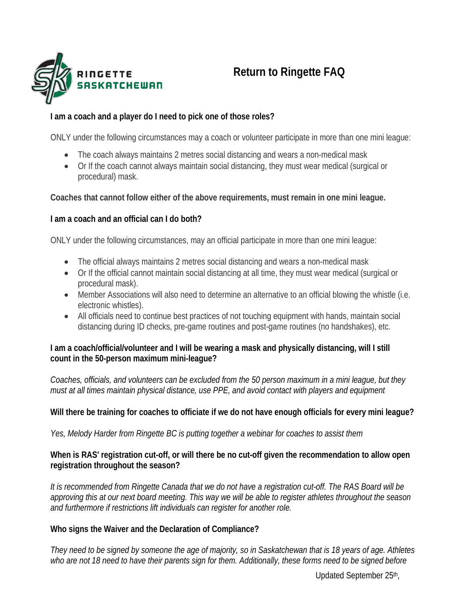

# **Return to Ringette FAQ**

## **I am a coach and a player do I need to pick one of those roles?**

ONLY under the following circumstances may a coach or volunteer participate in more than one mini league:

- The coach always maintains 2 metres social distancing and wears a non-medical mask
- Or If the coach cannot always maintain social distancing, they must wear medical (surgical or procedural) mask.

## **Coaches that cannot follow either of the above requirements, must remain in one mini league.**

## **I am a coach and an official can I do both?**

ONLY under the following circumstances, may an official participate in more than one mini league:

- The official always maintains 2 metres social distancing and wears a non-medical mask
- Or If the official cannot maintain social distancing at all time, they must wear medical (surgical or procedural mask).
- Member Associations will also need to determine an alternative to an official blowing the whistle (i.e. electronic whistles).
- All officials need to continue best practices of not touching equipment with hands, maintain social distancing during ID checks, pre-game routines and post-game routines (no handshakes), etc.

### **I am a coach/official/volunteer and I will be wearing a mask and physically distancing, will I still count in the 50-person maximum mini-league?**

*Coaches, officials, and volunteers can be excluded from the 50 person maximum in a mini league, but they must at all times maintain physical distance, use PPE, and avoid contact with players and equipment*

## **Will there be training for coaches to officiate if we do not have enough officials for every mini league?**

*Yes, Melody Harder from Ringette BC is putting together a webinar for coaches to assist them*

### **When is RAS' registration cut-off, or will there be no cut-off given the recommendation to allow open registration throughout the season?**

*It is recommended from Ringette Canada that we do not have a registration cut-off. The RAS Board will be approving this at our next board meeting. This way we will be able to register athletes throughout the season and furthermore if restrictions lift individuals can register for another role.*

## **Who signs the Waiver and the Declaration of Compliance?**

*They need to be signed by someone the age of majority, so in Saskatchewan that is 18 years of age. Athletes*  who are not 18 need to have their parents sign for them. Additionally, these forms need to be signed before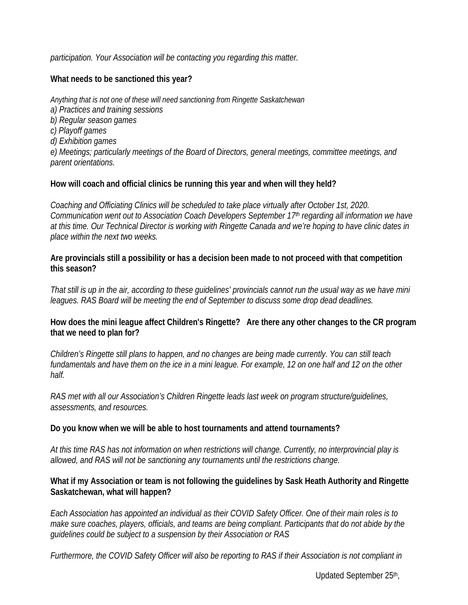*participation. Your Association will be contacting you regarding this matter.*

#### **What needs to be sanctioned this year?**

*Anything that is not one of these will need sanctioning from Ringette Saskatchewan a) Practices and training sessions b) Regular season games c) Playoff games d) Exhibition games e) Meetings; particularly meetings of the Board of Directors, general meetings, committee meetings, and parent orientations.*

#### **How will coach and official clinics be running this year and when will they held?**

*Coaching and Officiating Clinics will be scheduled to take place virtually after October 1st, 2020. Communication went out to Association Coach Developers September 17th regarding all information we have at this time. Our Technical Director is working with Ringette Canada and we're hoping to have clinic dates in place within the next two weeks.*

**Are provincials still a possibility or has a decision been made to not proceed with that competition this season?**

*That still is up in the air, according to these guidelines' provincials cannot run the usual way as we have mini leagues. RAS Board will be meeting the end of September to discuss some drop dead deadlines.* 

#### **How does the mini league affect Children's Ringette? Are there any other changes to the CR program that we need to plan for?**

*Children's Ringette still plans to happen, and no changes are being made currently. You can still teach*  fundamentals and have them on the ice in a mini league. For example, 12 on one half and 12 on the other *half.*

*RAS met with all our Association's Children Ringette leads last week on program structure/guidelines, assessments, and resources.* 

#### **Do you know when we will be able to host tournaments and attend tournaments?**

*At this time RAS has not information on when restrictions will change. Currently, no interprovincial play is allowed, and RAS will not be sanctioning any tournaments until the restrictions change.* 

#### **What if my Association or team is not following the guidelines by Sask Heath Authority and Ringette Saskatchewan, what will happen?**

*Each Association has appointed an individual as their COVID Safety Officer. One of their main roles is to make sure coaches, players, officials, and teams are being compliant. Participants that do not abide by the guidelines could be subject to a suspension by their Association or RAS*

*Furthermore, the COVID Safety Officer will also be reporting to RAS if their Association is not compliant in*